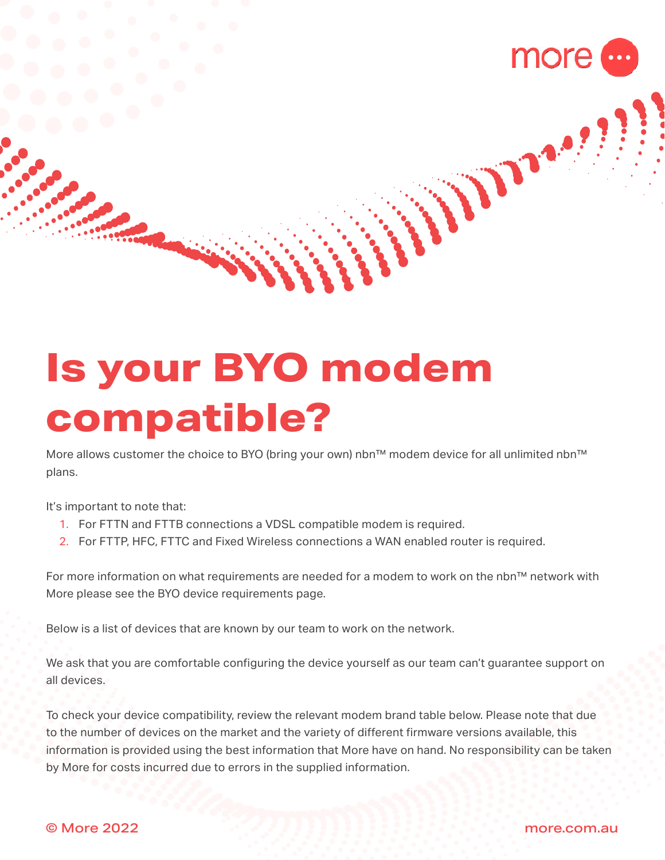

Where !

# **Is your BYO modem compatible?**

More allows customer the choice to BYO (bring your own) nbn™ modem device for all unlimited nbn™ plans.

It's important to note that:

- 1. For FTTN and FTTB connections a VDSL compatible modem is required.
- 2. For FTTP, HFC, FTTC and Fixed Wireless connections a WAN enabled router is required.

For more information on what requirements are needed for a modem to work on the nbn™ network with More please see the BYO device requirements page.

Below is a list of devices that are known by our team to work on the network.

We ask that you are comfortable configuring the device yourself as our team can't guarantee support on all devices.

To check your device compatibility, review the relevant modem brand table below. Please note that due to the number of devices on the market and the variety of different firmware versions available, this information is provided using the best information that More have on hand. No responsibility can be taken by More for costs incurred due to errors in the supplied information.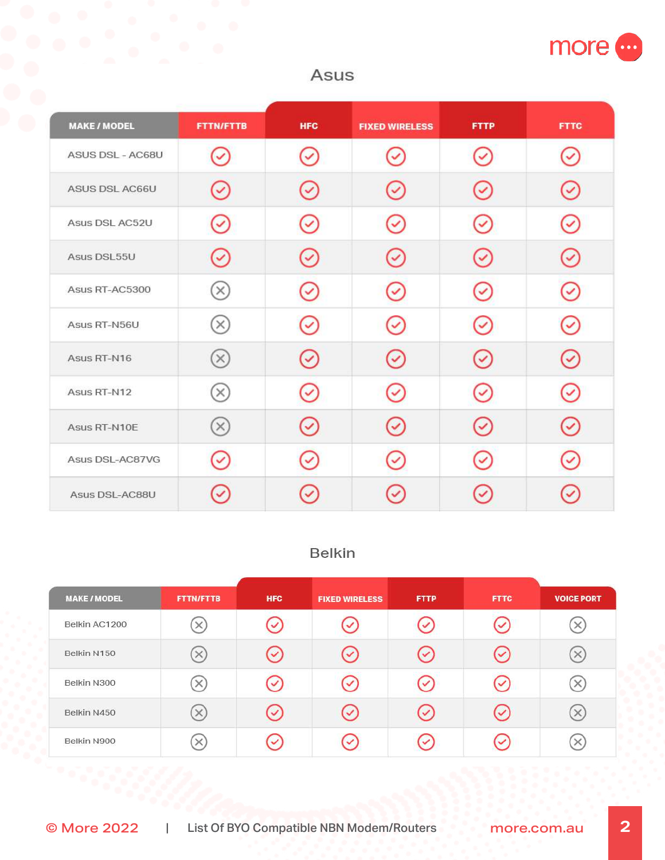

# Asus

| <b>MAKE / MODEL</b> | <b>FTTN/FTTB</b> | <b>HFC</b>   | <b>FIXED WIRELESS</b> | <b>FTTP</b>  | <b>FTTC</b> |
|---------------------|------------------|--------------|-----------------------|--------------|-------------|
| ASUS DSL - AC68U    |                  |              |                       |              |             |
| ASUS DSL AC66U      |                  |              |                       |              |             |
| Asus DSL AC52U      |                  |              | ✓                     | ✓            |             |
| Asus DSL55U         |                  |              |                       |              |             |
| Asus RT-AC5300      | $\times$         |              |                       | ✓            |             |
| Asus RT-N56U        | $\times$         |              |                       |              |             |
| Asus RT-N16         | $(\times)$       | $\checkmark$ |                       |              |             |
| Asus RT-N12         | $\times$         |              |                       |              |             |
| Asus RT-N10E        | $(\times)$       |              |                       | ✓            |             |
| Asus DSL-AC87VG     |                  |              |                       | $\checkmark$ |             |
| Asus DSL-AC88U      |                  |              |                       |              |             |

# Belkin

| <b>MAKE / MODEL</b> | <b>FTTN/FTTB</b> | <b>HFC</b>   | <b>FIXED WIRELESS</b> | <b>FTTP</b>          | <b>FTTC</b>                 | <b>VOICE PORT</b> |
|---------------------|------------------|--------------|-----------------------|----------------------|-----------------------------|-------------------|
| Belkin AC1200       | $\times$         |              | ✓                     | $\checkmark$         | $\checkmark$                | ×                 |
| Belkin N150         | $\times$         | $\checkmark$ | $\checkmark$          | $\sim$               | $\checkmark$                | ×,                |
| Belkin N300         | ×                | $\checkmark$ | $\checkmark$          | $\checkmark$         | $\left( \mathcal{S}\right)$ | $\times$          |
| Belkin N450         | ×                |              | $\checkmark$          | $\blacktriangledown$ | $\mathcal{S}$               | ×                 |
| Belkin N900         | $\times$         |              |                       |                      | ✓                           |                   |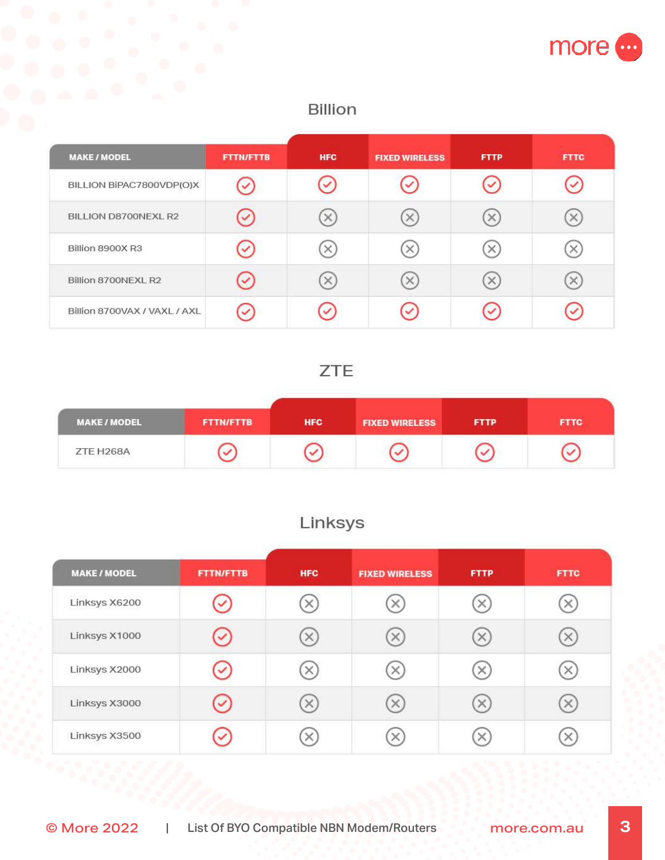

## Billion

| <b>MAKE / MODEL</b>          | <b>FTTN/FTTB</b> | <b>HFC</b> | <b>FIXED WIRELESS</b> | <b>FTTP</b> | <b>FTTC</b> |
|------------------------------|------------------|------------|-----------------------|-------------|-------------|
| BILLION BIPAC7800VDP(O)X     |                  |            |                       | ✓           |             |
| BILLION D8700NEXL R2         | ✓                | ×          |                       | ×           |             |
| Billion 8900X R3             | $\checkmark$     |            |                       | ×           |             |
| Billion 8700NEXL R2          | ✓                | $\times$   |                       | $\times$    |             |
| Billion 8700VAX / VAXL / AXL |                  |            |                       | ✓           |             |

# **ZTE**

| <b>MAKE / MODEL</b>                                 | <b>FTTN/FTTB</b> | <b>HFC</b> | <b>FIXED WIRELESS</b> | <b>FTTP</b> | <b>FTTC</b> |
|-----------------------------------------------------|------------------|------------|-----------------------|-------------|-------------|
| ZTE H268A<br>[아이들 2016년 발전 발표] 2018년 1박 2019년 2019년 |                  |            |                       |             |             |

# Linksys

| <b>MAKE / MODEL</b> | <b>FTTN/FTTB</b> | <b>HFC</b> | <b>FIXED WIRELESS</b> | <b>FTTP</b> | <b>FTTC</b> |
|---------------------|------------------|------------|-----------------------|-------------|-------------|
| Linksys X6200       |                  | ×)         | ×                     | ×           |             |
| Linksys X1000       |                  | $\times$   | X)                    | ×           |             |
| Linksys X2000       |                  | $\times$   | X)                    | ×           |             |
| Linksys X3000       |                  | X)         | ×                     | $\times$    |             |
| Linksys X3500       |                  | ×          |                       |             |             |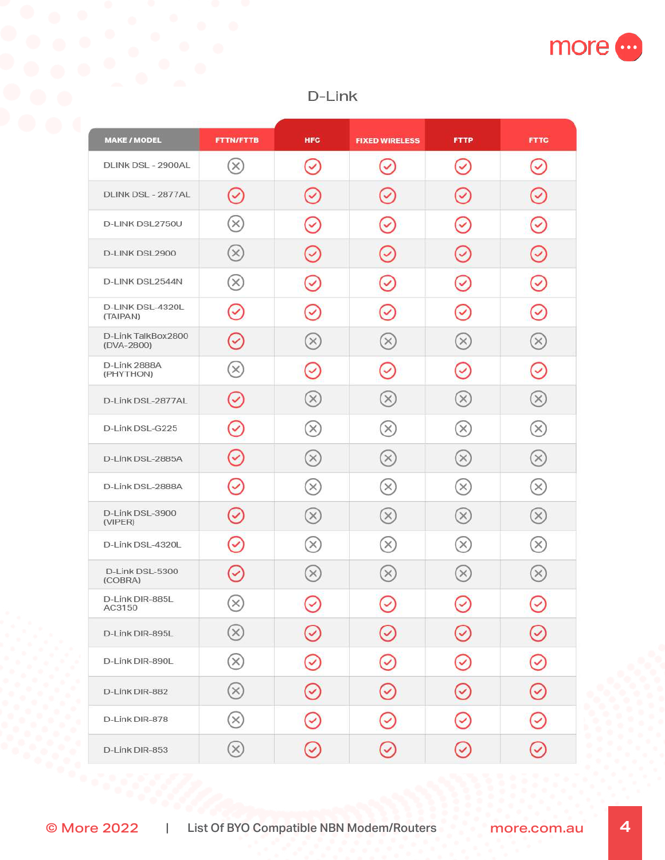

## D-Link

| <b>MAKE / MODEL</b>              | <b>FTTN/FTTB</b>                        | <b>HFC</b>     | <b>FIXED WIRELESS</b>      | <b>FTTP</b>                 | <b>FTTC</b>                            |
|----------------------------------|-----------------------------------------|----------------|----------------------------|-----------------------------|----------------------------------------|
| DLINK DSL - 2900AL               | $(\times)$                              | $(\checkmark)$ | Q                          | $(\checkmark)$              | $\boldsymbol{\mathcal{L}}$             |
| DLINK DSL - 2877AL               | $\rm \sim$                              | $\checkmark$   | Ç                          | $\hat{\mathcal{Q}}$         | ☑                                      |
| D-LINK DSL2750U                  | $(\times)$                              | $\rm \sim$     | $\tilde{Q}$                | $\sim$                      | $\boldsymbol{\omega}$                  |
| D-LINK DSL2900                   | $(\times)$                              | $\checkmark$   | $\omega$                   | $\rm \sim$                  | $\hat{\mathcal{S}}$                    |
| D-LINK DSL2544N                  | $(\times)$                              | $\checkmark$   | ☑                          | Ø                           | $\mathcal{S}$                          |
| D-LINK DSL-4320L<br>(TAIPAN)     | $\bm{\mathcal{S}}$                      | $\checkmark$   | $\boldsymbol{\mathcal{S}}$ | $\left( \downarrow \right)$ | $\sim$                                 |
| D-Link TalkBox2800<br>(DVA-2800) | $\overline{Q}$                          | $(\times)$     | $(\times)$                 | $(\times)$                  | $\hat{\mathbf{x}}$                     |
| D-Link 2888A<br>(PHYTHON)        | $(\times)$                              | $\checkmark$   | $\checkmark$               | $\omega$                    | Ø                                      |
| D-Link DSL-2877AL                | $(\checkmark)$                          | $(\times)$     | $(\times)$                 | $(\times)$                  | $(\times)$                             |
| D-Link DSL-G225                  | $\omega$                                | $(\times)$     | $(\times)$                 | $(\times)$                  | $(\times)$                             |
| D-Link DSL-2885A                 | $\odot$                                 | $(\times)$     | $(\times)$                 | $(\times)$                  | $(\times)$                             |
| D-Link DSL-2888A                 | $\odot$                                 | $(\times)$     | $(\times)$                 | $(\times)$                  | $\begin{pmatrix} \times \end{pmatrix}$ |
| D-Link DSL-3900<br>(VIPER)       | $\odot$                                 | $(\times)$     | $(\times)$                 | $(\times)$                  | $(\times)$                             |
| D-Link DSL-4320L                 | $\heartsuit$                            | $(\times)$     | $(\times)$                 | $(\times)$                  | $(\times)$                             |
| D-Link DSL-5300<br>(COBRA)       | $\odot$                                 | $(\times)$     | $\circledR$                | $(\times)$                  | $(\times)$                             |
| D-Link DIR-885L<br>AC3150        | $(\times)$<br>$\widetilde{\phantom{a}}$ | $\checkmark$   | ✓                          | $\bm{\mathcal{C}}$          | ▽                                      |
| D-Link DIR-895L                  | $\circledR$                             | $(\checkmark)$ | $\bigodot$                 | ☑                           | $\bigodot$                             |
| D-Link DIR-890L                  | $\otimes$                               | $\rm \sim$     | ♡                          | Ø                           | ☉                                      |
| D-Link DIR-882                   | $\circledR$                             | $\odot$        | $\bigodot$                 | $\bigodot$                  | $\odot$                                |
| D-Link DIR-878                   | $\circledR$                             | $\rm \sim$     | ☑                          | ᠑                           | Y                                      |
| D-Link DIR-853                   | $\circledR$                             | $\odot$        | $\odot$                    | $\bigodot$                  | $\odot$                                |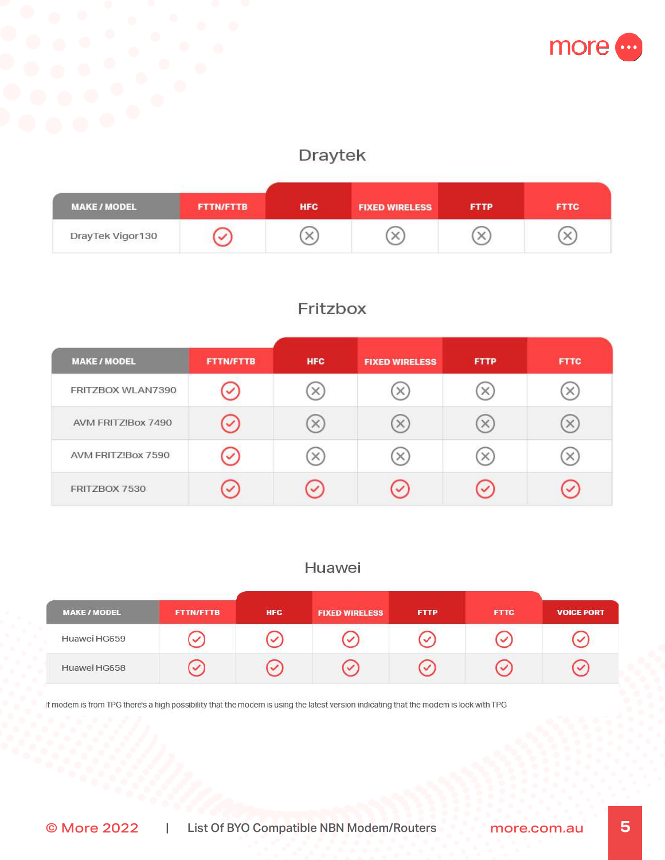

# Draytek

| <b>MAKE/MODEL</b> | <b>FTTN/FTTB</b> | <b>HFC</b> | <b>FIXED WIRELESS</b> | <b>FTTP</b> | <b>FTTC</b> |
|-------------------|------------------|------------|-----------------------|-------------|-------------|
| DrayTek Vigor130  |                  |            |                       |             |             |

# Fritzbox

| <b>MAKE / MODEL</b> | <b>FTTN/FTTB</b> | <b>HFC</b>   | <b>FIXED WIRELESS</b> | <b>FTTP</b> | <b>FTTC</b> |
|---------------------|------------------|--------------|-----------------------|-------------|-------------|
| FRITZBOX WLAN7390   | ✓                | ×            | ×                     | ×           |             |
| AVM FRITZ!Box 7490  | $\checkmark$     | ×            | $\times$              | ×           | $\times$    |
| AVM FRITZ!Box 7590  | ✓                | ×            | $\times$              |             |             |
| FRITZBOX 7530       | ✓                | $\checkmark$ | $\sim$                |             | ✓           |

#### Huawei

| <b>MAKE / MODEL</b> | <b>FTTN/FTTB</b> | <b>HFC</b> | <b>FIXED WIRELESS</b> | <b>FTTP</b> | <b>FTTC</b> | <b>VOICE PORT</b> |
|---------------------|------------------|------------|-----------------------|-------------|-------------|-------------------|
| Huawei HG659        |                  |            |                       |             |             |                   |
| Huawei HG658        |                  |            |                       |             |             |                   |

If modem is from TPG there's a high possibility that the modem is using the latest version indicating that the modem is lock with TPG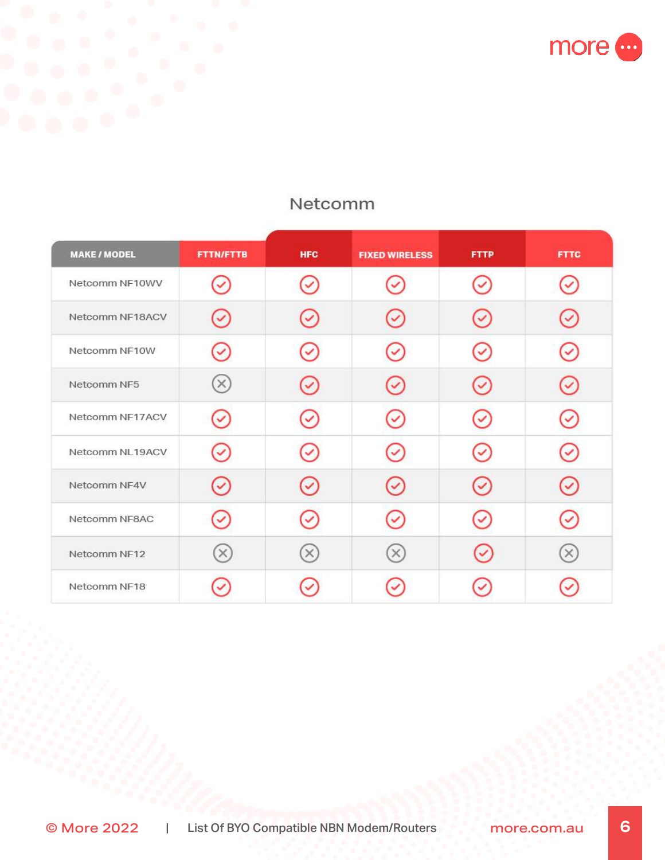more o

| <b>MAKE / MODEL</b> | <b>FTTN/FTTB</b> | <b>HFC</b> | <b>FIXED WIRELESS</b> | <b>FTTP</b>  | <b>FTTC</b> |
|---------------------|------------------|------------|-----------------------|--------------|-------------|
| Netcomm NF10WV      | ✓                |            |                       | $\checkmark$ |             |
| Netcomm NF18ACV     |                  |            |                       |              |             |
| Netcomm NF10W       |                  |            |                       | $\checkmark$ |             |
| Netcomm NF5         | $\times$         |            |                       |              |             |
| Netcomm NF17ACV     | $\checkmark$     |            |                       | $\checkmark$ |             |
| Netcomm NL19ACV     |                  |            |                       |              |             |
| Netcomm NF4V        |                  |            |                       | $\checkmark$ |             |
| Netcomm NF8AC       |                  |            | ✓                     |              |             |
| Netcomm NF12        | $(\times)$       | $\times$   | $\times$              |              | $\times$    |
| Netcomm NF18        |                  |            |                       |              |             |

# Netcomm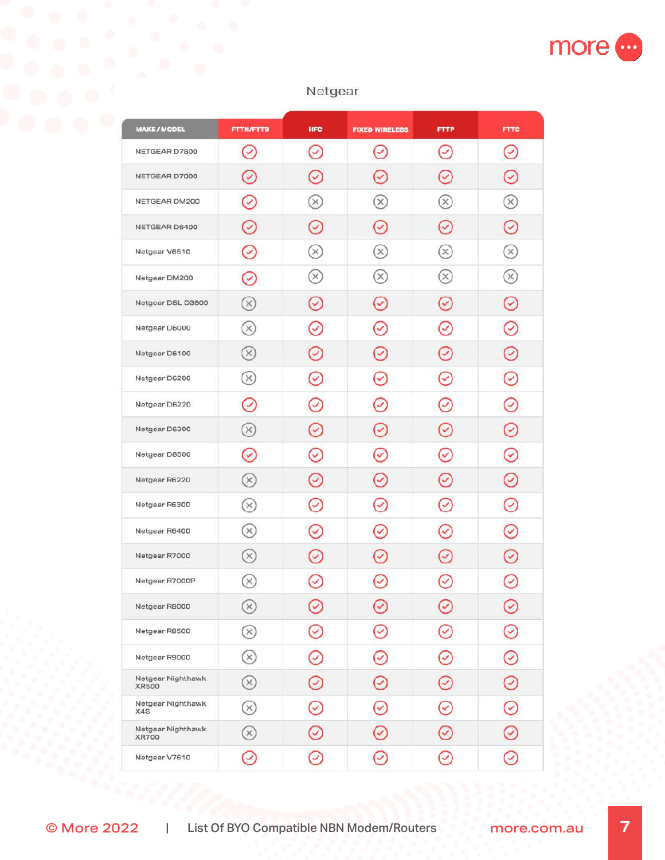

#### Netgear

| <b>MAKE/MODEL</b>                 | <b>FTTN/FTTB</b>           | <b>HFC</b>            | <b>FIXED WIRELESS</b> | <b>FTTP</b>              | <b>FTTC</b>        |
|-----------------------------------|----------------------------|-----------------------|-----------------------|--------------------------|--------------------|
| NETGEAR D7800                     | Ø                          | Ø                     | $\bullet$             | $\omega$                 | ⊻                  |
| NETGEAR D7000                     |                            |                       | ✓                     |                          |                    |
| NETGEAR DM200                     | $\rm \sim$                 | $\times$              | $\otimes$             | $\otimes$                | $\widehat{\times}$ |
| NETGEAR D6400                     | $\rm \sim$                 | $\rm\sim$             | $(\checkmark)$        | $\rm \sim$               | z                  |
| Netgear V6510                     | Ø                          | $(\times)$            | $\mathsf{x}$          | $(\times)$               | $\times$           |
| Netgear DM200                     | $\rm \sim$                 | $(\times)$            | $(\times)$            | $(\times)$               | $\times$           |
| Netgear DSL D3600                 | $(\times)$                 | $\rm \sim$            | $(\checkmark)$        | $(\checkmark)$           | Ø                  |
| Netgear D6000                     | (×)                        | $\omega$              | $\rm \sim$            | Ø                        | 2                  |
| Netgear D6100                     | (×)                        | ▽                     | V                     | U                        |                    |
| Netgear D6200                     | (×)                        | $\checkmark$          | $\checkmark$          | $\checkmark$             | ✓                  |
| Netgear D6220                     | $\checkmark$               | $\checkmark$          | $\checkmark$          | ✓                        |                    |
| Netgear D6300                     | $(\times)$                 | ☑                     | 2                     | ✓                        |                    |
| Netgear D8500                     | $\rm \sim$                 | $\checkmark$          | $\blacktriangledown$  | ▽                        | ᢦ                  |
| Netgear R6220                     | (×)                        | $\rm \sim$            | ☑                     | Z                        | Ø                  |
| Netgear R6300                     | (×)                        | $\boldsymbol{\omega}$ | Ø                     | $\overline{\mathcal{L}}$ | ☑                  |
| Netgear R6400                     | (×)                        | ✓                     | $\checkmark$          | ✓                        | ✓                  |
| Netgear R7000                     | (×)                        |                       | ᢦ                     |                          |                    |
| Netgear R7000P                    | $\times$                   |                       |                       |                          | ⊻                  |
| Netgear R8000                     | $(\times)$                 | ☑                     | ▽                     | ✓                        | ☑                  |
| Netgear R8500                     | $\otimes$                  | $\rm \sim$            | S                     | ⊻                        | ჟ                  |
| Netgear R9000                     | $\otimes$                  | $\omega$              | S                     | y                        | D                  |
| Netgear Nighthawk<br><b>XR500</b> | $\otimes$                  | $\rm \sim$            | $\bigodot$            | ✔                        | 丒                  |
| Netgear Nighthawk<br>X4S          | $\scriptstyle\rm (\times)$ | $\heartsuit$          | S                     | ⊻                        | D                  |
| Netgear Nighthawk<br><b>XR700</b> | $\circledR$                | $\rm \sim$            | S                     | ⊻                        | D                  |
| Netgear V7610                     | C                          | ⊻                     | ⊻                     | ☑                        | Y                  |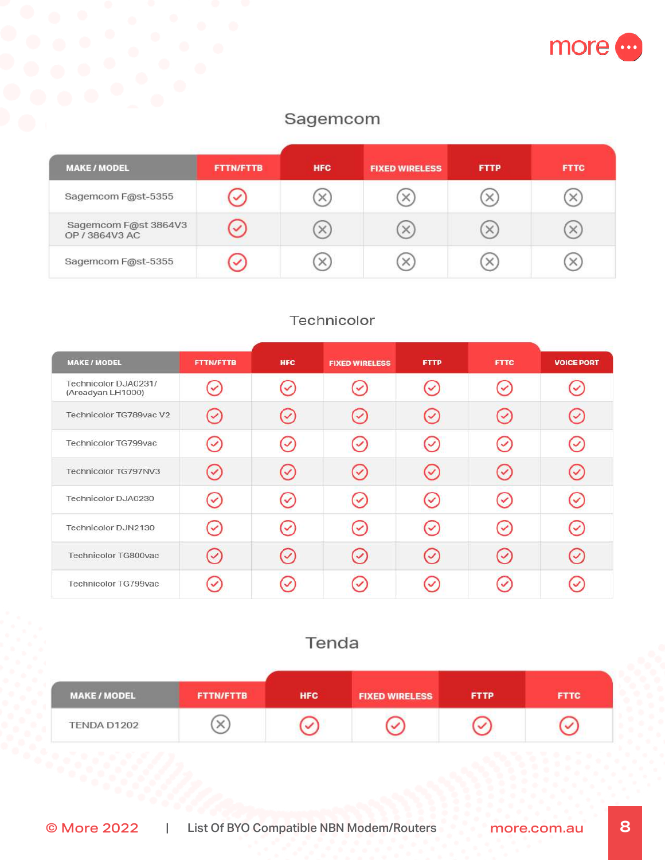

## Sagemcom

| <b>MAKE/MODEL</b>                      | <b>FTTN/FTTB</b> | <b>HFC</b> | <b>FIXED WIRELESS</b> | <b>FTTP</b> | <b>FTTC</b> |
|----------------------------------------|------------------|------------|-----------------------|-------------|-------------|
| Sagemcom F@st-5355                     |                  | ×          | ×                     | $\times$    |             |
| Sagemcom F@st 3864V3<br>OP / 3864V3 AC | ✓                | $\times$   | $\times$              | $\times$    | $\times$    |
| Sagemcom F@st-5355                     | $\checkmark$     | $\times$   | ×                     | $\times$    | $\times$    |

### Technicolor

| <b>MAKE / MODEL</b>                       | <b>FTTN/FTTB</b> | <b>HFC</b> | <b>FIXED WIRELESS</b> | <b>FTTP</b> | <b>FTTC</b>  | <b>VOICE PORT</b> |
|-------------------------------------------|------------------|------------|-----------------------|-------------|--------------|-------------------|
| Technicolor DJA0231/<br>(Arcadyan LH1000) |                  |            |                       |             | $\checkmark$ |                   |
| Technicolor TG789vac V2                   |                  |            | $\checkmark$          |             | $\checkmark$ |                   |
| Technicolor TG799vac                      |                  |            |                       |             | $\checkmark$ |                   |
| Technicolor TG797NV3                      |                  |            |                       |             |              |                   |
| Technicolor DJA0230                       |                  |            |                       |             | $\checkmark$ |                   |
| Technicolor DJN2130                       |                  |            | $\checkmark$          |             | $\checkmark$ |                   |
| Technicolor TG800vac                      |                  |            |                       |             |              |                   |
| Technicolor TG799vac                      |                  |            |                       |             |              |                   |

# Tenda

| <b>MAKE / MODEL</b> | <b>FTTN/FTTB</b> | <b>HFC</b> | <b>FIXED WIRELESS</b> | <b>FTTP</b> | <b>FTTC</b> |
|---------------------|------------------|------------|-----------------------|-------------|-------------|
| TENDA D1202         |                  |            |                       |             |             |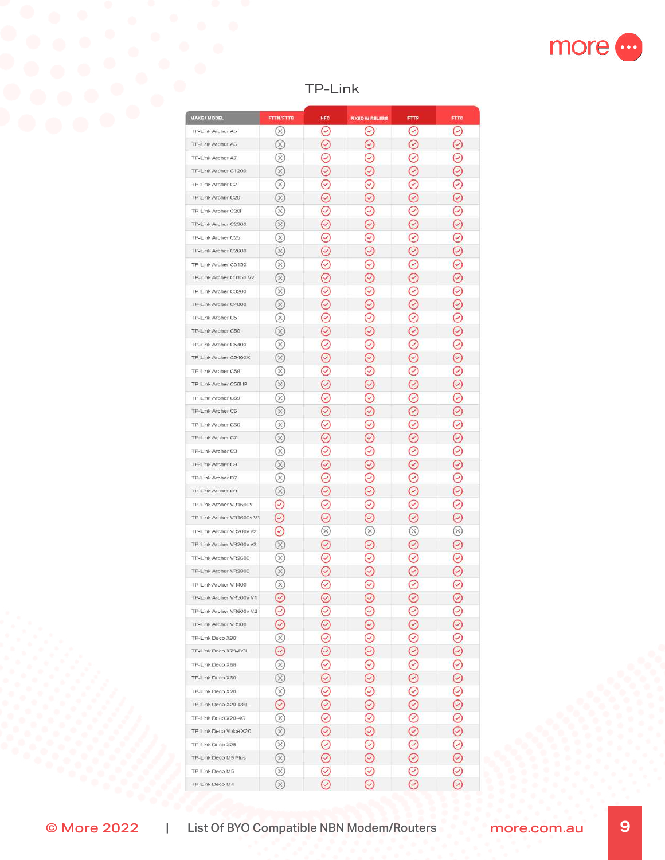

## TP-Link

| <b>MAKE / MODEL</b>                         | <b>FTTN/FTTB</b>       | <b>HFC</b>    | <b>FIXED WIRELESS</b>      | <b>FTTP</b>        | FTTC                |
|---------------------------------------------|------------------------|---------------|----------------------------|--------------------|---------------------|
| TP-Link Archer A5                           | $(\times)$             | ⊙             | O                          | ⊙                  | ⊙                   |
| TP-Link Archer A6                           | $(\times)$             | C             | ⊘                          | ☉                  | ⊘                   |
|                                             | $(\times)$             |               |                            |                    | Ò                   |
| TP-Link Archer A7                           |                        | 3             | E                          | 3                  |                     |
| TP-Link Archer C1200<br>TP-Link Archer C2   | $(\times)$             | 3             | C                          | T                  | ☉                   |
|                                             | $(\times)$             | 3<br>C        | C                          | E                  | ☉                   |
| TP-Link Archer C20                          | $(\times)$             |               | C                          | C                  | Ø                   |
| TP-Link Archer C20i<br>TP-Link Archer C2300 | (×)<br>$(\times)$      | ଡ<br>Ø        | C<br>C                     | $\odot$<br>Ø       | ⊘<br>Ø              |
|                                             |                        | 3             |                            | ☉                  |                     |
| TP-Link Archer C25<br>TP-Link Archer C2600  | $(\times)$             |               | Ø                          |                    | ☉                   |
|                                             | $\otimes$              | ☉             | C                          | Ø                  | ⊘                   |
| TP-Link Archer C3150                        | $(\times)$             | ව             | Ø                          | ⊗                  | ☉                   |
| TP-Link Archer C3150 V2                     | $^{\circledR}$         | ☉             | C                          | ☉                  | ☉                   |
| TP-Link Archer C3200                        | $^{\circledR}$         | ⊗             | ☺                          | ☉                  | $\hat{\mathcal{O}}$ |
| TP-Link Archer C4000                        | ⊗                      | 3             | C                          | ☉                  | ☉                   |
| TP-Link Archer C5                           | ⊗                      | Ͽ             | ☺                          | Ͽ                  | Э                   |
| TP-Link Archer C50                          | $\otimes$              | 3             | C                          | 3                  | ☉                   |
| TP-Link Archer C5400                        | ⊗                      | 3             | ☉                          | 3                  | Ͽ                   |
| TP-Link Archer C5400X                       | $(\times)$             | 3             | C                          | 3                  | ☉                   |
| TP-Link Archer C58                          | $(\times)$             | 3             | E                          | 9                  | Э                   |
| TP-Link Archer C58HP                        | $(\times)$             | 3             | ⊘                          | 3                  | Э                   |
| TP-Link Archer C59                          | $(\times)$             | 3             | Ø                          | 3                  | 3                   |
| TP-Link Archer C6                           | $(\times)$             | E             | $\rm \sim$                 | ☑                  | ☉                   |
| TP-Link Archer C60                          | $(\times)$             | 3             | ℭ                          | 3                  | S                   |
| TP-Link Archer C7                           | $(\times)$             | E             | $(\check{\,})$             | ☑                  | ☑                   |
| TP-Link Archer C8                           | $\scriptstyle\rm{(x)}$ | 3             | C                          | 3                  | D                   |
| TP-Link Archer C9                           | $(\times)$             | 3             | C                          | E                  | ☉                   |
| TP-Link Archer D7                           | ×                      | 3             | C                          | 3                  | C                   |
| TP-Link Archer D9                           | Q,                     | C             | C                          | C                  | ⊘                   |
| TP-Link Archer VR1600v                      | ⊙                      | 3             | C                          | S                  | ⊘                   |
| TP-Link Archer VR1600v V1                   | ⊘                      | ල             | O                          | ☉                  | ⊘                   |
| TP-Link Archer VR200v v2                    | ⊘                      | 8             | $\scriptstyle\rm (\times)$ | $^\infty$          | ⊗                   |
| TP-Link Archer VR200v v2                    | $^{\circledR}$         | C             | ☺                          | ☉                  | Ø                   |
| TP-Link Archer VR2600                       | $^\circledR$           | 3             | C                          | 3                  | 3                   |
| TP-Link Archer VR2800                       | $(\times)$             | C             | C                          | E                  | ☉                   |
| TP-Link Archer VR400                        | (×)                    | O             | ☉                          | $\varpi$           | Ø                   |
| TP-Link Archer VR500v V1                    | $_{\odot}$             | ☺             | Ø                          | O                  | ⊘                   |
| TP-Link Archer VR600v V2                    | ☉                      | 3             | T                          | 3                  | $\odot$             |
| TP-Link Archer VR900                        | ⊘                      | ☉             | Ø                          | 3                  | $\circledcirc$      |
| TP-Link Deco X90                            | $^{\circledR}$         | $\odot$       | $\odot$                    | 3                  |                     |
| TP-Link Deco X73-DSL                        | $_{\odot}$             | Ø             | $\odot$                    | ☉                  |                     |
| TP-Link Deco X68                            | ⊗                      | ☉             | Ø                          | ☉                  |                     |
| TP-Link Deco X60                            | $^{\circledR}$         | Ø             | $\odot$                    | $\odot$            |                     |
| TP-Link Deco X20                            | ⊗                      | ☉             | ☉                          | ☉                  | $\odot$             |
| TP-Link Deco X20-DSL                        | ⊘                      | ☉             | $\odot$                    | ☉                  | $\tilde{\Theta}$    |
| TP-Link Deco X20-4G                         | ⊗                      | ☉             | $\odot$                    | ☉                  | $\circledcirc$      |
| TP-Link Deco Voice X20                      | ⊗                      | $\hat{\phi}$  | $\hat{\mathcal{O}}$        | $\hat{\bm{\odot}}$ |                     |
| TP-Link Deco X25                            | ⊗                      | 0             | Ø                          | ☉                  | $\odot$             |
| TP-Link Deco M9 Plus                        | $^{\circledR}$         | Ø             | $_{\odot}$                 | Ø                  |                     |
| TP-Link Deco M5                             | ⊗                      | 3             | ⊗                          | 3                  | $\odot$             |
| TP-Link Deco M4                             | ⊗                      | $^\copyright$ | $\odot$                    | $\odot$            | $\odot$             |